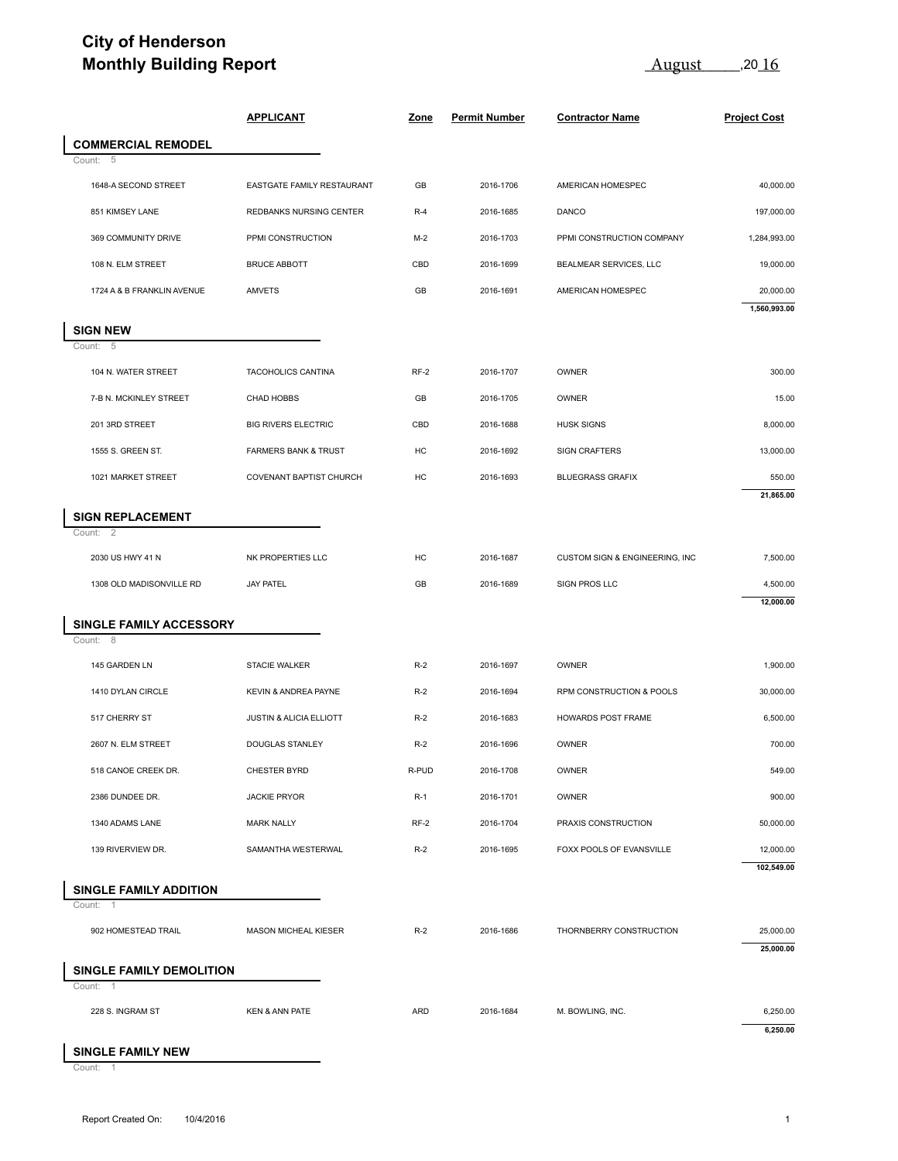## **City of Henderson Monthly Building Report**

August 2016

|                                                                                                       | <b>APPLICANT</b>                | Zone   | <b>Permit Number</b> | <b>Contractor Name</b>         | <b>Project Cost</b>                                                                      |
|-------------------------------------------------------------------------------------------------------|---------------------------------|--------|----------------------|--------------------------------|------------------------------------------------------------------------------------------|
| <b>COMMERCIAL REMODEL</b><br>5                                                                        |                                 |        |                      |                                |                                                                                          |
| Count:<br>1648-A SECOND STREET                                                                        | EASTGATE FAMILY RESTAURANT      | GB     | 2016-1706            | AMERICAN HOMESPEC              | 40,000.00                                                                                |
| 851 KIMSEY LANE                                                                                       | REDBANKS NURSING CENTER         | $R-4$  | 2016-1685            | DANCO                          | 197,000.00                                                                               |
| 369 COMMUNITY DRIVE                                                                                   | PPMI CONSTRUCTION               | $M-2$  | 2016-1703            | PPMI CONSTRUCTION COMPANY      | 1,284,993.00                                                                             |
| 108 N. ELM STREET                                                                                     | <b>BRUCE ABBOTT</b>             | CBD    | 2016-1699            | BEALMEAR SERVICES, LLC         | 19,000.00                                                                                |
| 1724 A & B FRANKLIN AVENUE                                                                            | AMVETS                          | GB     | 2016-1691            | AMERICAN HOMESPEC              | 20,000.00<br>1,560,993.00                                                                |
| <b>SIGN NEW</b><br>Count:<br>- 5                                                                      |                                 |        |                      |                                |                                                                                          |
| 104 N. WATER STREET                                                                                   | TACOHOLICS CANTINA              | $RF-2$ | 2016-1707            | OWNER                          | 300.00                                                                                   |
| 7-B N. MCKINLEY STREET                                                                                | CHAD HOBBS                      | GB     | 2016-1705            | OWNER                          | 15.00                                                                                    |
| 201 3RD STREET                                                                                        | <b>BIG RIVERS ELECTRIC</b>      | CBD    | 2016-1688            | <b>HUSK SIGNS</b>              | 8,000.00                                                                                 |
| 1555 S. GREEN ST.                                                                                     | <b>FARMERS BANK &amp; TRUST</b> | HC     | 2016-1692            | <b>SIGN CRAFTERS</b>           | 13,000.00                                                                                |
| 1021 MARKET STREET                                                                                    | COVENANT BAPTIST CHURCH         | HC     | 2016-1693            | <b>BLUEGRASS GRAFIX</b>        | 550.00<br>21,865.00                                                                      |
| <b>SIGN REPLACEMENT</b><br>Count: 2                                                                   |                                 |        |                      |                                |                                                                                          |
|                                                                                                       |                                 |        |                      |                                | 7,500.00                                                                                 |
| 2030 US HWY 41 N                                                                                      | NK PROPERTIES LLC               | HC     | 2016-1687            | CUSTOM SIGN & ENGINEERING, INC |                                                                                          |
| 1308 OLD MADISONVILLE RD                                                                              | <b>JAY PATEL</b>                | GB     | 2016-1689            | SIGN PROS LLC                  |                                                                                          |
|                                                                                                       |                                 |        |                      |                                |                                                                                          |
| 145 GARDEN LN                                                                                         | <b>STACIE WALKER</b>            | $R-2$  | 2016-1697            | OWNER                          |                                                                                          |
| 1410 DYLAN CIRCLE                                                                                     | KEVIN & ANDREA PAYNE            | $R-2$  | 2016-1694            | RPM CONSTRUCTION & POOLS       |                                                                                          |
| 517 CHERRY ST                                                                                         | JUSTIN & ALICIA ELLIOTT         | $R-2$  | 2016-1683            | HOWARDS POST FRAME             |                                                                                          |
| 2607 N. ELM STREET                                                                                    | <b>DOUGLAS STANLEY</b>          | $R-2$  | 2016-1696            | OWNER                          |                                                                                          |
| 518 CANOE CREEK DR.                                                                                   | CHESTER BYRD                    | R-PUD  | 2016-1708            | OWNER                          |                                                                                          |
| 2386 DUNDEE DR.                                                                                       | <b>JACKIE PRYOR</b>             | $R-1$  | 2016-1701            | OWNER                          | 4,500.00<br>12,000.00<br>1,900.00<br>30,000.00<br>6,500.00<br>700.00<br>549.00<br>900.00 |
| 1340 ADAMS LANE                                                                                       | <b>MARK NALLY</b>               | RF-2   | 2016-1704            | PRAXIS CONSTRUCTION            |                                                                                          |
| 139 RIVERVIEW DR.                                                                                     | SAMANTHA WESTERWAL              | $R-2$  | 2016-1695            | FOXX POOLS OF EVANSVILLE       |                                                                                          |
| $\overline{1}$                                                                                        |                                 |        |                      |                                | 50,000.00<br>12,000.00<br>102,549.00                                                     |
| SINGLE FAMILY ACCESSORY<br>Count: 8<br><b>SINGLE FAMILY ADDITION</b><br>Count:<br>902 HOMESTEAD TRAIL | MASON MICHEAL KIESER            | $R-2$  | 2016-1686            | THORNBERRY CONSTRUCTION        | 25,000.00                                                                                |
| SINGLE FAMILY DEMOLITION<br>Count: 1                                                                  |                                 |        |                      |                                | 25,000.00                                                                                |